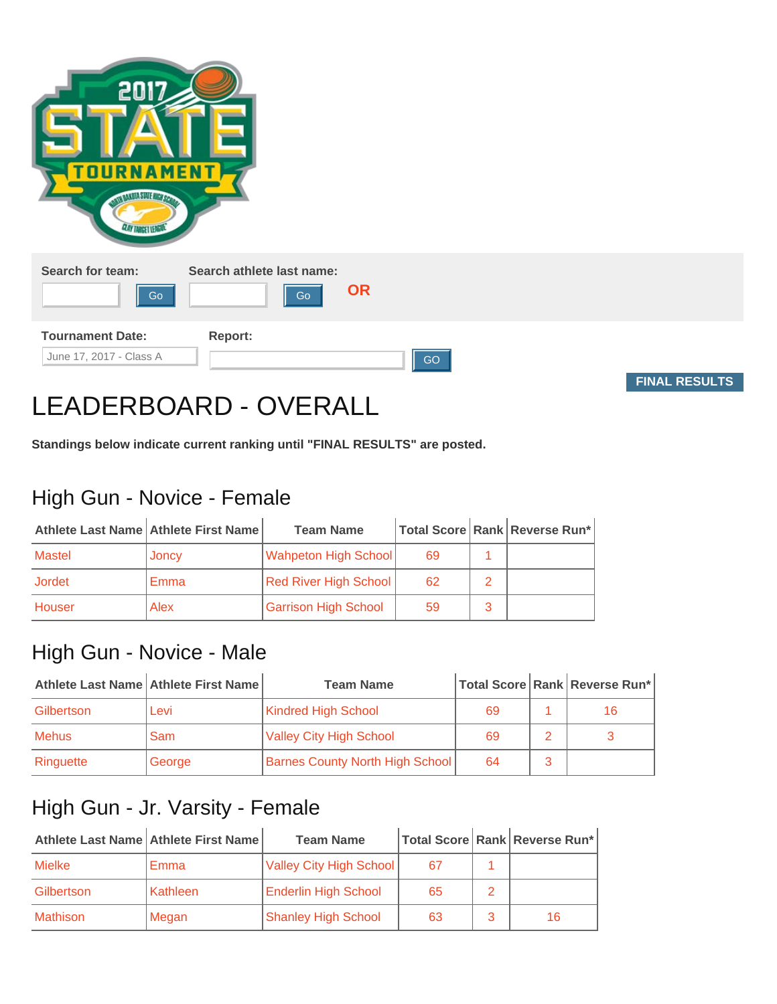| 2017<br><b>TOURN</b><br><b>MENT</b><br><b>CLAY TANGET LEAGUA</b> |           |                      |
|------------------------------------------------------------------|-----------|----------------------|
| Search for team:<br>Search athlete last name:<br>Go<br>Go        | <b>OR</b> |                      |
| <b>Tournament Date:</b><br>Report:<br>June 17, 2017 - Class A    | GO        | <b>FINAL RESULTS</b> |

# LEADERBOARD - OVERALL

**Standings below indicate current ranking until "FINAL RESULTS" are posted.**

## High Gun - Novice - Female

|        | Athlete Last Name Athlete First Name | <b>Team Name</b>             |    | Total Score   Rank   Reverse Run* |
|--------|--------------------------------------|------------------------------|----|-----------------------------------|
| Mastel | Joncy                                | <b>Wahpeton High School</b>  | 69 |                                   |
| Jordet | Emma                                 | <b>Red River High School</b> | 62 |                                   |
| Houser | Alex                                 | <b>Garrison High School</b>  | 59 |                                   |

#### High Gun - Novice - Male

|              | Athlete Last Name   Athlete First Name | <b>Team Name</b>                       |    | Total Score   Rank   Reverse Run* |
|--------------|----------------------------------------|----------------------------------------|----|-----------------------------------|
| Gilbertson   | Levi                                   | <b>Kindred High School</b>             | 69 | 16                                |
| <b>Mehus</b> | Sam                                    | <b>Valley City High School</b>         | 69 |                                   |
| Ringuette    | George                                 | <b>Barnes County North High School</b> | 64 |                                   |

#### High Gun - Jr. Varsity - Female

|                 | Athlete Last Name Athlete First Name | <b>Team Name</b>            |    | Total Score Rank Reverse Run* |
|-----------------|--------------------------------------|-----------------------------|----|-------------------------------|
| <b>Mielke</b>   | Emma                                 | Valley City High School     |    |                               |
| Gilbertson      | Kathleen                             | <b>Enderlin High School</b> | 65 |                               |
| <b>Mathison</b> | Megan                                | <b>Shanley High School</b>  | 63 | 16                            |